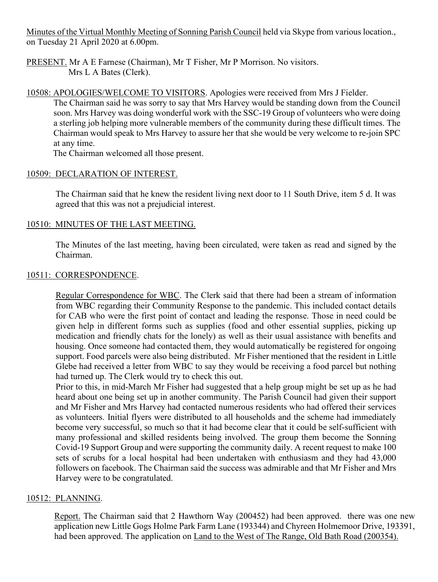Minutes of the Virtual Monthly Meeting of Sonning Parish Council held via Skype from various location., on Tuesday 21 April 2020 at 6.00pm.

PRESENT. Mr A E Farnese (Chairman), Mr T Fisher, Mr P Morrison. No visitors. Mrs L A Bates (Clerk).

# 10508: APOLOGIES/WELCOME TO VISITORS. Apologies were received from Mrs J Fielder.

The Chairman said he was sorry to say that Mrs Harvey would be standing down from the Council soon. Mrs Harvey was doing wonderful work with the SSC-19 Group of volunteers who were doing a sterling job helping more vulnerable members of the community during these difficult times. The Chairman would speak to Mrs Harvey to assure her that she would be very welcome to re-join SPC at any time.

The Chairman welcomed all those present.

#### 10509: DECLARATION OF INTEREST.

The Chairman said that he knew the resident living next door to 11 South Drive, item 5 d. It was agreed that this was not a prejudicial interest.

#### 10510: MINUTES OF THE LAST MEETING.

The Minutes of the last meeting, having been circulated, were taken as read and signed by the Chairman.

#### 10511: CORRESPONDENCE.

Regular Correspondence for WBC. The Clerk said that there had been a stream of information from WBC regarding their Community Response to the pandemic. This included contact details for CAB who were the first point of contact and leading the response. Those in need could be given help in different forms such as supplies (food and other essential supplies, picking up medication and friendly chats for the lonely) as well as their usual assistance with benefits and housing. Once someone had contacted them, they would automatically be registered for ongoing support. Food parcels were also being distributed. Mr Fisher mentioned that the resident in Little Glebe had received a letter from WBC to say they would be receiving a food parcel but nothing had turned up. The Clerk would try to check this out.

Prior to this, in mid-March Mr Fisher had suggested that a help group might be set up as he had heard about one being set up in another community. The Parish Council had given their support and Mr Fisher and Mrs Harvey had contacted numerous residents who had offered their services as volunteers. Initial flyers were distributed to all households and the scheme had immediately become very successful, so much so that it had become clear that it could be self-sufficient with many professional and skilled residents being involved. The group them become the Sonning Covid-19 Support Group and were supporting the community daily. A recent request to make 100 sets of scrubs for a local hospital had been undertaken with enthusiasm and they had 43,000 followers on facebook. The Chairman said the success was admirable and that Mr Fisher and Mrs Harvey were to be congratulated.

# 10512: PLANNING.

Report. The Chairman said that 2 Hawthorn Way (200452) had been approved. there was one new application new Little Gogs Holme Park Farm Lane (193344) and Chyreen Holmemoor Drive, 193391, had been approved. The application on Land to the West of The Range, Old Bath Road (200354).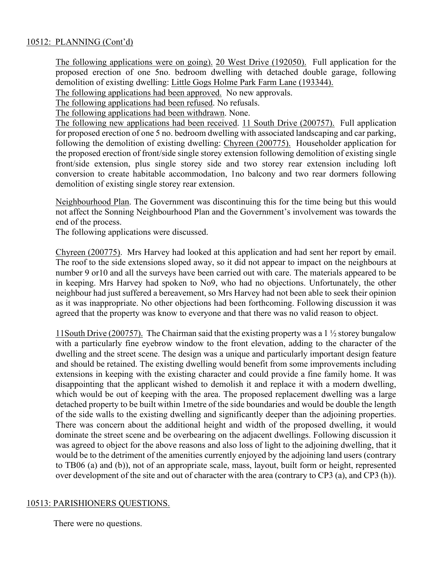# 10512: PLANNING (Cont'd)

The following applications were on going). 20 West Drive (192050). Full application for the proposed erection of one 5no. bedroom dwelling with detached double garage, following demolition of existing dwelling: Little Gogs Holme Park Farm Lane (193344).

The following applications had been approved. No new approvals.

The following applications had been refused. No refusals.

The following applications had been withdrawn. None.

The following new applications had been received. 11 South Drive (200757). Full application for proposed erection of one 5 no. bedroom dwelling with associated landscaping and car parking, following the demolition of existing dwelling: Chyreen (200775). Householder application for the proposed erection of front/side single storey extension following demolition of existing single front/side extension, plus single storey side and two storey rear extension including loft conversion to create habitable accommodation, 1no balcony and two rear dormers following demolition of existing single storey rear extension.

Neighbourhood Plan. The Government was discontinuing this for the time being but this would not affect the Sonning Neighbourhood Plan and the Government's involvement was towards the end of the process.

The following applications were discussed.

Chyreen (200775). Mrs Harvey had looked at this application and had sent her report by email. The roof to the side extensions sloped away, so it did not appear to impact on the neighbours at number 9 or10 and all the surveys have been carried out with care. The materials appeared to be in keeping. Mrs Harvey had spoken to No9, who had no objections. Unfortunately, the other neighbour had just suffered a bereavement, so Mrs Harvey had not been able to seek their opinion as it was inappropriate. No other objections had been forthcoming. Following discussion it was agreed that the property was know to everyone and that there was no valid reason to object.

11South Drive (200757). The Chairman said that the existing property was a 1 ½ storey bungalow with a particularly fine eyebrow window to the front elevation, adding to the character of the dwelling and the street scene. The design was a unique and particularly important design feature and should be retained. The existing dwelling would benefit from some improvements including extensions in keeping with the existing character and could provide a fine family home. It was disappointing that the applicant wished to demolish it and replace it with a modern dwelling, which would be out of keeping with the area. The proposed replacement dwelling was a large detached property to be built within 1metre of the side boundaries and would be double the length of the side walls to the existing dwelling and significantly deeper than the adjoining properties. There was concern about the additional height and width of the proposed dwelling, it would dominate the street scene and be overbearing on the adjacent dwellings. Following discussion it was agreed to object for the above reasons and also loss of light to the adjoining dwelling, that it would be to the detriment of the amenities currently enjoyed by the adjoining land users (contrary to TB06 (a) and (b)), not of an appropriate scale, mass, layout, built form or height, represented over development of the site and out of character with the area (contrary to CP3 (a), and CP3 (h)).

#### 10513: PARISHIONERS QUESTIONS.

There were no questions.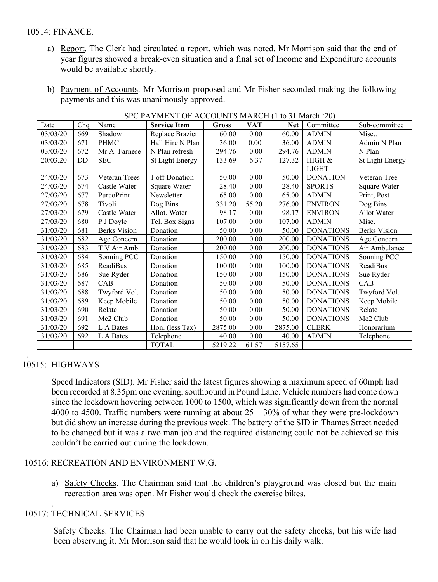# 10514: FINANCE.

- a) Report. The Clerk had circulated a report, which was noted. Mr Morrison said that the end of year figures showed a break-even situation and a final set of Income and Expenditure accounts would be available shortly.
- b) Payment of Accounts. Mr Morrison proposed and Mr Fisher seconded making the following payments and this was unanimously approved.

| Date     | Chq | Name                | $\sigma$ of $\sigma$ is the set of the set of the set of $\sigma$ in the set of $\sigma$<br><b>Service Item</b> | <b>Gross</b> | <b>VAT</b> | Net     | Committee              | Sub-committee          |
|----------|-----|---------------------|-----------------------------------------------------------------------------------------------------------------|--------------|------------|---------|------------------------|------------------------|
| 03/03/20 | 669 | Shadow              | Replace Brazier                                                                                                 | 60.00        | $0.00\,$   | 60.00   | <b>ADMIN</b>           | Misc                   |
| 03/03/20 | 671 | <b>PHMC</b>         | Hall Hire N Plan                                                                                                | 36.00        | 0.00       | 36.00   | <b>ADMIN</b>           | Admin N Plan           |
| 03/03/20 | 672 | Mr A Farnese        | N Plan refresh                                                                                                  | 294.76       | 0.00       | 294.76  | <b>ADMIN</b>           | N Plan                 |
| 20/03.20 | DD  | <b>SEC</b>          | <b>St Light Energy</b>                                                                                          | 133.69       | 6.37       | 127.32  | HIGH &<br><b>LIGHT</b> | <b>St Light Energy</b> |
| 24/03/20 | 673 | Veteran Trees       | 1 off Donation                                                                                                  | 50.00        | 0.00       | 50.00   | <b>DONATION</b>        | Veteran Tree           |
| 24/03/20 | 674 | Castle Water        | Square Water                                                                                                    | 28.40        | 0.00       | 28.40   | <b>SPORTS</b>          | Square Water           |
| 27/03/20 | 677 | PurcoPrint          | Newsletter                                                                                                      | 65.00        | 0.00       | 65.00   | <b>ADMIN</b>           | Print, Post            |
| 27/03/20 | 678 | Tivoli              | Dog Bins                                                                                                        | 331.20       | 55.20      | 276.00  | <b>ENVIRON</b>         | Dog Bins               |
| 27/03/20 | 679 | Castle Water        | Allot. Water                                                                                                    | 98.17        | 0.00       | 98.17   | <b>ENVIRON</b>         | Allot Water            |
| 27/03/20 | 680 | P J Doyle           | Tel. Box Signs                                                                                                  | 107.00       | 0.00       | 107.00  | <b>ADMIN</b>           | Misc.                  |
| 31/03/20 | 681 | <b>Berks Vision</b> | Donation                                                                                                        | 50.00        | 0.00       | 50.00   | <b>DONATIONS</b>       | <b>Berks Vision</b>    |
| 31/03/20 | 682 | Age Concern         | Donation                                                                                                        | 200.00       | 0.00       | 200.00  | <b>DONATIONS</b>       | Age Concern            |
| 31/03/20 | 683 | T V Air Amb.        | Donation                                                                                                        | 200.00       | 0.00       | 200.00  | <b>DONATIONS</b>       | Air Ambulance          |
| 31/03/20 | 684 | Sonning PCC         | Donation                                                                                                        | 150.00       | 0.00       | 150.00  | <b>DONATIONS</b>       | Sonning PCC            |
| 31/03/20 | 685 | <b>ReadiBus</b>     | Donation                                                                                                        | 100.00       | 0.00       | 100.00  | <b>DONATIONS</b>       | ReadiBus               |
| 31/03/20 | 686 | Sue Ryder           | Donation                                                                                                        | 150.00       | 0.00       | 150.00  | <b>DONATIONS</b>       | Sue Ryder              |
| 31/03/20 | 687 | CAB                 | Donation                                                                                                        | 50.00        | 0.00       | 50.00   | <b>DONATIONS</b>       | CAB                    |
| 31/03/20 | 688 | Twyford Vol.        | Donation                                                                                                        | 50.00        | 0.00       | 50.00   | <b>DONATIONS</b>       | Twyford Vol.           |
| 31/03/20 | 689 | Keep Mobile         | Donation                                                                                                        | 50.00        | 0.00       | 50.00   | <b>DONATIONS</b>       | Keep Mobile            |
| 31/03/20 | 690 | Relate              | Donation                                                                                                        | 50.00        | 0.00       | 50.00   | <b>DONATIONS</b>       | Relate                 |
| 31/03/20 | 691 | Me2 Club            | Donation                                                                                                        | 50.00        | 0.00       | 50.00   | <b>DONATIONS</b>       | Me2 Club               |
| 31/03/20 | 692 | L A Bates           | Hon. (less Tax)                                                                                                 | 2875.00      | 0.00       | 2875.00 | <b>CLERK</b>           | Honorarium             |
| 31/03/20 | 692 | L A Bates           | Telephone                                                                                                       | 40.00        | 0.00       | 40.00   | <b>ADMIN</b>           | Telephone              |
|          |     |                     | <b>TOTAL</b>                                                                                                    | 5219.22      | 61.57      | 5157.65 |                        |                        |

SPC PAYMENT OF ACCOUNTS MARCH (1 to 31 March '20)

#### . 10515: HIGHWAYS

Speed Indicators (SID). Mr Fisher said the latest figures showing a maximum speed of 60mph had been recorded at 8.35pm one evening, southbound in Pound Lane. Vehicle numbers had come down since the lockdown hovering between 1000 to 1500, which was significantly down from the normal 4000 to 4500. Traffic numbers were running at about  $25 - 30\%$  of what they were pre-lockdown but did show an increase during the previous week. The battery of the SID in Thames Street needed to be changed but it was a two man job and the required distancing could not be achieved so this couldn't be carried out during the lockdown.

# 10516: RECREATION AND ENVIRONMENT W.G.

a) Safety Checks. The Chairman said that the children's playground was closed but the main recreation area was open. Mr Fisher would check the exercise bikes.

#### . 10517: TECHNICAL SERVICES.

Safety Checks. The Chairman had been unable to carry out the safety checks, but his wife had been observing it. Mr Morrison said that he would look in on his daily walk.